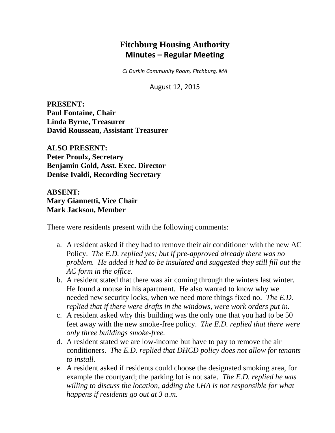# **Fitchburg Housing Authority Minutes – Regular Meeting**

*CJ Durkin Community Room, Fitchburg, MA*

August 12, 2015

**PRESENT: Paul Fontaine, Chair Linda Byrne, Treasurer David Rousseau, Assistant Treasurer**

**ALSO PRESENT: Peter Proulx, Secretary Benjamin Gold, Asst. Exec. Director Denise Ivaldi, Recording Secretary**

**ABSENT: Mary Giannetti, Vice Chair Mark Jackson, Member**

There were residents present with the following comments:

- a. A resident asked if they had to remove their air conditioner with the new AC Policy. *The E.D. replied yes; but if pre-approved already there was no problem. He added it had to be insulated and suggested they still fill out the AC form in the office.*
- b. A resident stated that there was air coming through the winters last winter. He found a mouse in his apartment. He also wanted to know why we needed new security locks, when we need more things fixed no. *The E.D. replied that if there were drafts in the windows, were work orders put in.*
- c. A resident asked why this building was the only one that you had to be 50 feet away with the new smoke-free policy. *The E.D. replied that there were only three buildings smoke-free.*
- d. A resident stated we are low-income but have to pay to remove the air conditioners. *The E.D. replied that DHCD policy does not allow for tenants to install.*
- e. A resident asked if residents could choose the designated smoking area, for example the courtyard; the parking lot is not safe. *The E.D. replied he was willing to discuss the location, adding the LHA is not responsible for what happens if residents go out at 3 a.m.*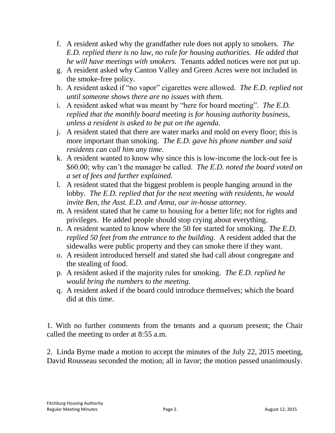- f. A resident asked why the grandfather rule does not apply to smokers. *The E.D. replied there is no law, no rule for housing authorities. He added that he will have meetings with smokers.* Tenants added notices were not put up.
- g. A resident asked why Canton Valley and Green Acres were not included in the smoke-free policy.
- h. A resident asked if "no vapor" cigarettes were allowed. *The E.D. replied not until someone shows there are no issues with them.*
- i. A resident asked what was meant by "here for board meeting". *The E.D. replied that the monthly board meeting is for housing authority business, unless a resident is asked to be put on the agenda.*
- j. A resident stated that there are water marks and mold on every floor; this is more important than smoking. *The E.D. gave his phone number and said residents can call him any time.*
- k. A resident wanted to know why since this is low-income the lock-out fee is \$60.00; why can't the manager be called. *The E.D. noted the board voted on a set of fees and further explained.*
- l. A resident stated that the biggest problem is people hanging around in the lobby. *The E.D. replied that for the next meeting with residents, he would invite Ben, the Asst. E.D. and Anna, our in-house attorney.*
- m. A resident stated that he came to housing for a better life; not for rights and privileges. He added people should stop crying about everything.
- n. A resident wanted to know where the 50 fee started for smoking. *The E.D. replied 50 feet from the entrance to the building.* A resident added that the sidewalks were public property and they can smoke there if they want.
- o. A resident introduced herself and stated she had call about congregate and the stealing of food.
- p. A resident asked if the majority rules for smoking. *The E.D. replied he would bring the numbers to the meeting.*
- q. A resident asked if the board could introduce themselves; which the board did at this time.

1. With no further comments from the tenants and a quorum present; the Chair called the meeting to order at 8:55 a.m.

2. Linda Byrne made a motion to accept the minutes of the July 22, 2015 meeting, David Rousseau seconded the motion; all in favor; the motion passed unanimously.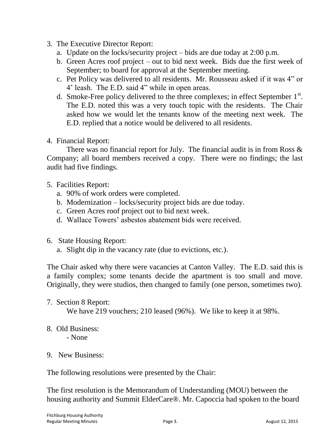- 3. The Executive Director Report:
	- a. Update on the locks/security project bids are due today at 2:00 p.m.
	- b. Green Acres roof project out to bid next week. Bids due the first week of September; to board for approval at the September meeting.
	- c. Pet Policy was delivered to all residents. Mr. Rousseau asked if it was 4" or 4' leash. The E.D. said 4" while in open areas.
	- d. Smoke-Free policy delivered to the three complexes; in effect September  $1<sup>st</sup>$ . The E.D. noted this was a very touch topic with the residents. The Chair asked how we would let the tenants know of the meeting next week. The E.D. replied that a notice would be delivered to all residents.

# 4. Financial Report:

There was no financial report for July. The financial audit is in from Ross & Company; all board members received a copy. There were no findings; the last audit had five findings.

# 5. Facilities Report:

- a. 90% of work orders were completed.
- b. Modernization locks/security project bids are due today.
- c. Green Acres roof project out to bid next week.
- d. Wallace Towers' asbestos abatement bids were received.
- 6. State Housing Report:
	- a. Slight dip in the vacancy rate (due to evictions, etc.).

The Chair asked why there were vacancies at Canton Valley. The E.D. said this is a family complex; some tenants decide the apartment is too small and move. Originally, they were studios, then changed to family (one person, sometimes two).

7. Section 8 Report:

We have 219 vouchers; 210 leased (96%). We like to keep it at 98%.

8. Old Business:

- None

9. New Business:

The following resolutions were presented by the Chair:

The first resolution is the Memorandum of Understanding (MOU) between the housing authority and Summit ElderCare®. Mr. Capoccia had spoken to the board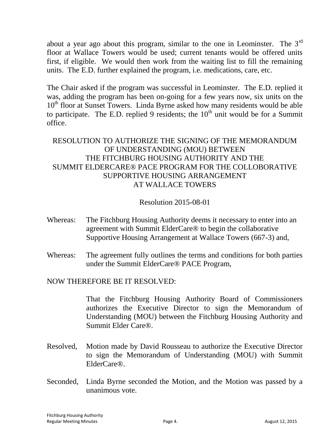about a year ago about this program, similar to the one in Leominster. The 3rd floor at Wallace Towers would be used; current tenants would be offered units first, if eligible. We would then work from the waiting list to fill the remaining units. The E.D. further explained the program, i.e. medications, care, etc.

The Chair asked if the program was successful in Leominster. The E.D. replied it was, adding the program has been on-going for a few years now, six units on the  $10<sup>th</sup>$  floor at Sunset Towers. Linda Byrne asked how many residents would be able to participate. The E.D. replied 9 residents; the  $10<sup>th</sup>$  unit would be for a Summit office.

# RESOLUTION TO AUTHORIZE THE SIGNING OF THE MEMORANDUM OF UNDERSTANDING (MOU) BETWEEN THE FITCHBURG HOUSING AUTHORITY AND THE SUMMIT ELDERCARE® PACE PROGRAM FOR THE COLLOBORATIVE SUPPORTIVE HOUSING ARRANGEMENT AT WALLACE TOWERS

# Resolution 2015-08-01

- Whereas: The Fitchburg Housing Authority deems it necessary to enter into an agreement with Summit ElderCare® to begin the collaborative Supportive Housing Arrangement at Wallace Towers (667-3) and,
- Whereas: The agreement fully outlines the terms and conditions for both parties under the Summit ElderCare® PACE Program,

# NOW THEREFORE BE IT RESOLVED:

That the Fitchburg Housing Authority Board of Commissioners authorizes the Executive Director to sign the Memorandum of Understanding (MOU) between the Fitchburg Housing Authority and Summit Elder Care®.

- Resolved, Motion made by David Rousseau to authorize the Executive Director to sign the Memorandum of Understanding (MOU) with Summit ElderCare®.
- Seconded, Linda Byrne seconded the Motion, and the Motion was passed by a unanimous vote.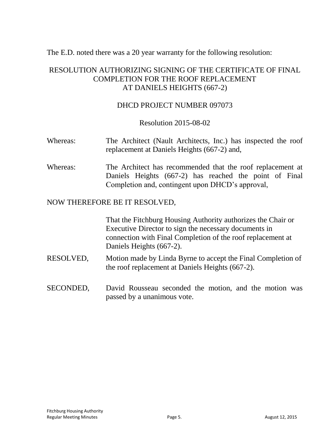The E.D. noted there was a 20 year warranty for the following resolution:

# RESOLUTION AUTHORIZING SIGNING OF THE CERTIFICATE OF FINAL COMPLETION FOR THE ROOF REPLACEMENT AT DANIELS HEIGHTS (667-2)

# DHCD PROJECT NUMBER 097073

Resolution 2015-08-02

- Whereas: The Architect (Nault Architects, Inc.) has inspected the roof replacement at Daniels Heights (667-2) and,
- Whereas: The Architect has recommended that the roof replacement at Daniels Heights (667-2) has reached the point of Final Completion and, contingent upon DHCD's approval,

### NOW THEREFORE BE IT RESOLVED,

That the Fitchburg Housing Authority authorizes the Chair or Executive Director to sign the necessary documents in connection with Final Completion of the roof replacement at Daniels Heights (667-2).

- RESOLVED, Motion made by Linda Byrne to accept the Final Completion of the roof replacement at Daniels Heights (667-2).
- SECONDED, David Rousseau seconded the motion, and the motion was passed by a unanimous vote.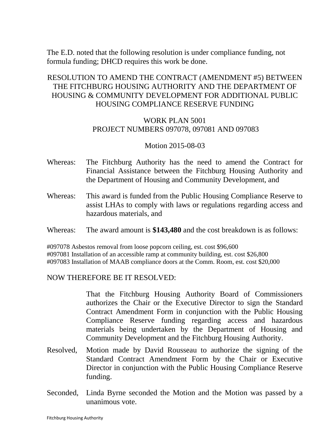The E.D. noted that the following resolution is under compliance funding, not formula funding; DHCD requires this work be done.

# RESOLUTION TO AMEND THE CONTRACT (AMENDMENT #5) BETWEEN THE FITCHBURG HOUSING AUTHORITY AND THE DEPARTMENT OF HOUSING & COMMUNITY DEVELOPMENT FOR ADDITIONAL PUBLIC HOUSING COMPLIANCE RESERVE FUNDING

# WORK PLAN 5001 PROJECT NUMBERS 097078, 097081 AND 097083

#### Motion 2015-08-03

- Whereas: The Fitchburg Authority has the need to amend the Contract for Financial Assistance between the Fitchburg Housing Authority and the Department of Housing and Community Development, and
- Whereas: This award is funded from the Public Housing Compliance Reserve to assist LHAs to comply with laws or regulations regarding access and hazardous materials, and
- Whereas: The award amount is **\$143,480** and the cost breakdown is as follows:

#097078 Asbestos removal from loose popcorn ceiling, est. cost \$96,600 #097081 Installation of an accessible ramp at community building, est. cost \$26,800 #097083 Installation of MAAB compliance doors at the Comm. Room, est. cost \$20,000

#### NOW THEREFORE BE IT RESOLVED:

That the Fitchburg Housing Authority Board of Commissioners authorizes the Chair or the Executive Director to sign the Standard Contract Amendment Form in conjunction with the Public Housing Compliance Reserve funding regarding access and hazardous materials being undertaken by the Department of Housing and Community Development and the Fitchburg Housing Authority.

- Resolved, Motion made by David Rousseau to authorize the signing of the Standard Contract Amendment Form by the Chair or Executive Director in conjunction with the Public Housing Compliance Reserve funding.
- Seconded, Linda Byrne seconded the Motion and the Motion was passed by a unanimous vote.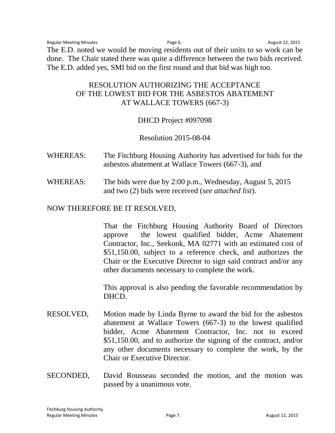Regular Meeting Minutes **Regular Meeting Minutes** Page 6. August 12, 2015 The E.D. noted we would be moving residents out of their units to so work can be done. The Chair stated there was quite a difference between the two bids received. The E.D. added yes, SMI bid on the first round and that bid was high too.

# RESOLUTION AUTHORIZING THE ACCEPTANCE OF THE LOWEST BID FOR THE ASBESTOS ABATEMENT AT WALLACE TOWERS (667-3)

# DHCD Project #097098

### Resolution 2015-08-04

- WHEREAS: The Fitchburg Housing Authority has advertised for bids for the asbestos abatement at Wallace Towers (667-3), and
- WHEREAS: The bids were due by 2:00 p.m., Wednesday, August 5, 2015 and two (2) bids were received (*see attached list*).

#### NOW THEREFORE BE IT RESOLVED,

That the Fitchburg Housing Authority Board of Directors approve the lowest qualified bidder, Acme Abatement Contractor, Inc., Seekonk, MA 02771 with an estimated cost of \$51,150.00, subject to a reference check, and authorizes the Chair or the Executive Director to sign said contract and/or any other documents necessary to complete the work.

This approval is also pending the favorable recommendation by DHCD.

- RESOLVED, Motion made by Linda Byrne to award the bid for the asbestos abatement at Wallace Towers (667-3) to the lowest qualified bidder, Acme Abatement Contractor, Inc. not to exceed \$51,150.00, and to authorize the signing of the contract, and/or any other documents necessary to complete the work, by the Chair or Executive Director.
- SECONDED, David Rousseau seconded the motion, and the motion was passed by a unanimous vote.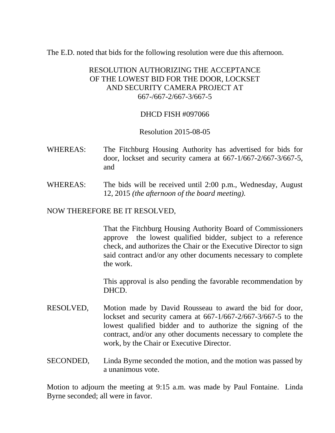The E.D. noted that bids for the following resolution were due this afternoon.

# RESOLUTION AUTHORIZING THE ACCEPTANCE OF THE LOWEST BID FOR THE DOOR, LOCKSET AND SECURITY CAMERA PROJECT AT 667-/667-2/667-3/667-5

# DHCD FISH #097066

# Resolution 2015-08-05

- WHEREAS: The Fitchburg Housing Authority has advertised for bids for door, lockset and security camera at 667-1/667-2/667-3/667-5, and
- WHEREAS: The bids will be received until 2:00 p.m., Wednesday, August 12, 2015 *(the afternoon of the board meeting).*

# NOW THEREFORE BE IT RESOLVED,

That the Fitchburg Housing Authority Board of Commissioners approve the lowest qualified bidder, subject to a reference check, and authorizes the Chair or the Executive Director to sign said contract and/or any other documents necessary to complete the work.

This approval is also pending the favorable recommendation by DHCD.

- RESOLVED, Motion made by David Rousseau to award the bid for door, lockset and security camera at 667-1/667-2/667-3/667-5 to the lowest qualified bidder and to authorize the signing of the contract, and/or any other documents necessary to complete the work, by the Chair or Executive Director.
- SECONDED, Linda Byrne seconded the motion, and the motion was passed by a unanimous vote.

Motion to adjourn the meeting at 9:15 a.m. was made by Paul Fontaine. Linda Byrne seconded; all were in favor.